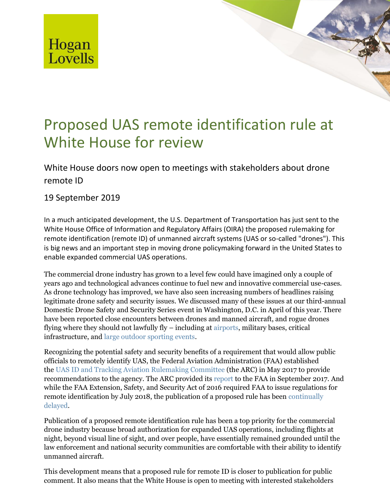

## Proposed UAS remote identification rule at White House for review

White House doors now open to meetings with stakeholders about drone remote ID

## 19 September 2019

In a much anticipated development, the U.S. Department of Transportation has just sent to the White House Office of Information and Regulatory Affairs (OIRA) the proposed rulemaking for remote identification (remote ID) of unmanned aircraft systems (UAS or so-called "drones"). This is big news and an important step in moving drone policymaking forward in the United States to enable expanded commercial UAS operations.

The commercial drone industry has grown to a level few could have imagined only a couple of years ago and technological advances continue to fuel new and innovative commercial use-cases. As drone technology has improved, we have also seen increasing numbers of headlines raising legitimate drone safety and security issues. We discussed many of these issues at our third-annual Domestic Drone Safety and Security Series event in Washington, D.C. in April of this year. There have been reported close encounters between drones and manned aircraft, and rogue drones flying where they should not lawfully fly – including a[t airports,](https://www.theguardian.com/uk-news/2019/jun/18/gatwick-drone-disruption-cost-airport-just-14m) military bases, critical infrastructure, and [large outdoor sporting events.](https://boston.cbslocal.com/2019/04/11/drone-flies-over-fenway-park/)

Recognizing the potential safety and security benefits of a requirement that would allow public officials to remotely identify UAS, the Federal Aviation Administration (FAA) established the [UAS ID and Tracking Aviation Rulemaking Committee](https://www.faa.gov/news/updates/media/UAS_ID_and_Tracking_ARC_Charter.pdf) (the ARC) in May 2017 to provide recommendations to the agency. The ARC provided it[s report](https://www.faa.gov/regulations_policies/rulemaking/committees/documents/media/UAS%20ID%20ARC%20Final%20Report%20with%20Appendices.pdf) to the FAA in September 2017. And while the FAA Extension, Safety, and Security Act of 2016 required FAA to issue regulations for remote identification by July 2018, the publication of a proposed rule has been [continually](https://atwonline.com/regulation/faa-delays-release-remote-id-draft-rule-drones)  [delayed.](https://atwonline.com/regulation/faa-delays-release-remote-id-draft-rule-drones)

Publication of a proposed remote identification rule has been a top priority for the commercial drone industry because broad authorization for expanded UAS operations, including flights at night, beyond visual line of sight, and over people, have essentially remained grounded until the law enforcement and national security communities are comfortable with their ability to identify unmanned aircraft.

This development means that a proposed rule for remote ID is closer to publication for public comment. It also means that the White House is open to meeting with interested stakeholders